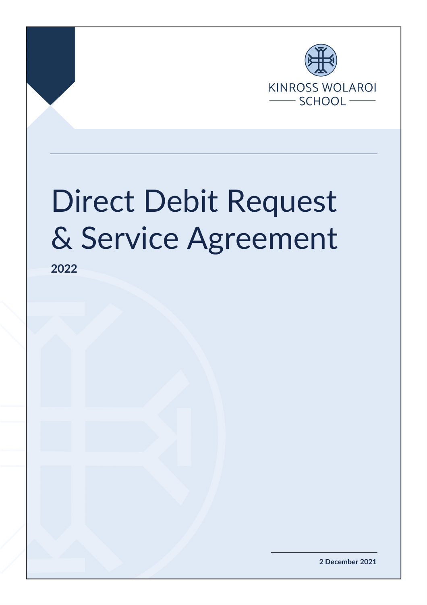

# Direct Debit Request & Service Agreement

**2022**

**2 December 2021**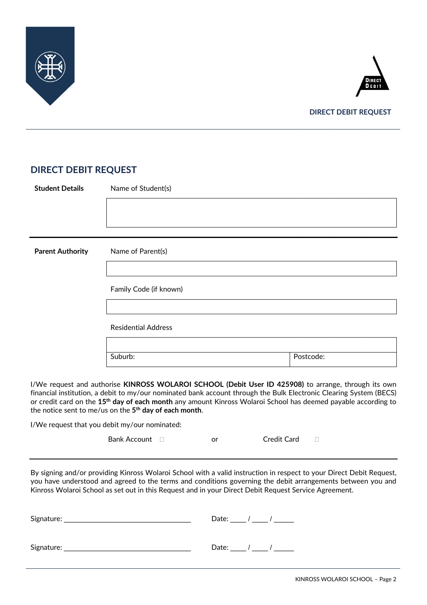



## **DIRECT DEBIT REQUEST**

## **DIRECT DEBIT REQUEST**

| <b>Student Details</b>  | Name of Student(s)         |           |  |
|-------------------------|----------------------------|-----------|--|
|                         |                            |           |  |
|                         |                            |           |  |
|                         |                            |           |  |
| <b>Parent Authority</b> | Name of Parent(s)          |           |  |
|                         |                            |           |  |
|                         | Family Code (if known)     |           |  |
|                         |                            |           |  |
|                         | <b>Residential Address</b> |           |  |
|                         |                            |           |  |
|                         | Suburb:                    | Postcode: |  |
|                         |                            |           |  |

I/We request and authorise **KINROSS WOLAROI SCHOOL (Debit User ID 425908)** to arrange, through its own financial institution, a debit to my/our nominated bank account through the Bulk Electronic Clearing System (BECS) or credit card on the **15th day of each month** any amount Kinross Wolaroi School has deemed payable according to the notice sent to me/us on the **5th day of each month**.

I/We request that you debit my/our nominated:

| <b>Bank Account</b> |  | Credit Card |  |
|---------------------|--|-------------|--|
|---------------------|--|-------------|--|

By signing and/or providing Kinross Wolaroi School with a valid instruction in respect to your Direct Debit Request, you have understood and agreed to the terms and conditions governing the debit arrangements between you and Kinross Wolaroi School as set out in this Request and in your Direct Debit Request Service Agreement.

| Signature: | Date: _____ / _____ / _______ |  |  |
|------------|-------------------------------|--|--|
|            |                               |  |  |
| Signature: | Date: ____ / ____ / ______    |  |  |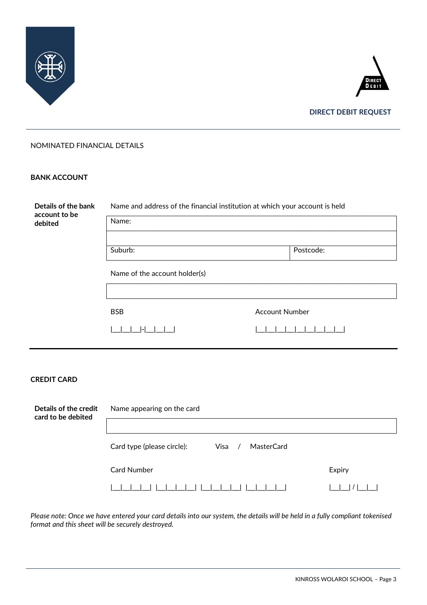



**DIRECT DEBIT REQUEST**

#### NOMINATED FINANCIAL DETAILS

#### **BANK ACCOUNT**

| Details of the bank<br>account to be        | Name and address of the financial institution at which your account is held |                       |  |  |  |
|---------------------------------------------|-----------------------------------------------------------------------------|-----------------------|--|--|--|
| debited                                     | Name:                                                                       |                       |  |  |  |
|                                             |                                                                             |                       |  |  |  |
|                                             | Suburb:                                                                     | Postcode:             |  |  |  |
|                                             | Name of the account holder(s)                                               |                       |  |  |  |
|                                             |                                                                             |                       |  |  |  |
|                                             | <b>BSB</b>                                                                  | <b>Account Number</b> |  |  |  |
|                                             |                                                                             |                       |  |  |  |
|                                             |                                                                             |                       |  |  |  |
| <b>CREDIT CARD</b>                          |                                                                             |                       |  |  |  |
| Details of the credit<br>card to be debited | Name appearing on the card                                                  |                       |  |  |  |

|\_\_|\_\_|\_\_|\_\_| |\_\_|\_\_|\_\_|\_\_| |\_\_|\_\_|\_\_|\_\_| |\_\_|\_\_|\_\_|\_\_| |\_\_|\_\_| / |\_\_|\_\_| *Please note: Once we have entered your card details into our system, the details will be held in a fully compliant tokenised format and this sheet will be securely destroyed.*

Card Number **Expiry** 

Card type (please circle): Visa / MasterCard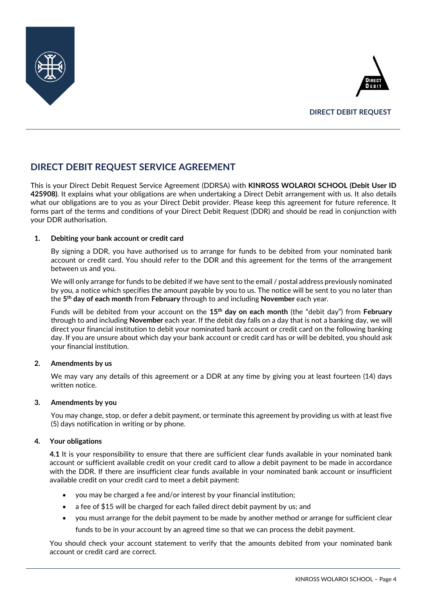



# **DIRECT DEBIT REQUEST SERVICE AGREEMENT**

This is your Direct Debit Request Service Agreement (DDRSA) with **KINROSS WOLAROI SCHOOL (Debit User ID 425908)**. It explains what your obligations are when undertaking a Direct Debit arrangement with us. It also details what our obligations are to you as your Direct Debit provider. Please keep this agreement for future reference. It forms part of the terms and conditions of your Direct Debit Request (DDR) and should be read in conjunction with your DDR authorisation.

#### **1. Debiting your bank account or credit card**

By signing a DDR, you have authorised us to arrange for funds to be debited from your nominated bank account or credit card. You should refer to the DDR and this agreement for the terms of the arrangement between us and you.

We will only arrange for funds to be debited if we have sent to the email / postal address previously nominated by you, a notice which specifies the amount payable by you to us. The notice will be sent to you no later than the **5th day of each month** from **February** through to and including **November** each year.

Funds will be debited from your account on the **15th day on each month** (the "debit day") from **February**  through to and including **November** each year. If the debit day falls on a day that is not a banking day, we will direct your financial institution to debit your nominated bank account or credit card on the following banking day. If you are unsure about which day your bank account or credit card has or will be debited, you should ask your financial institution.

#### **2. Amendments by us**

We may vary any details of this agreement or a DDR at any time by giving you at least fourteen (14) days written notice.

#### **3. Amendments by you**

You may change, stop, or defer a debit payment, or terminate this agreement by providing us with at least five (5) days notification in writing or by phone.

#### **4. Your obligations**

**4.1** It is your responsibility to ensure that there are sufficient clear funds available in your nominated bank account or sufficient available credit on your credit card to allow a debit payment to be made in accordance with the DDR. If there are insufficient clear funds available in your nominated bank account or insufficient available credit on your credit card to meet a debit payment:

- you may be charged a fee and/or interest by your financial institution;
- a fee of \$15 will be charged for each failed direct debit payment by us; and
- you must arrange for the debit payment to be made by another method or arrange for sufficient clear funds to be in your account by an agreed time so that we can process the debit payment.

You should check your account statement to verify that the amounts debited from your nominated bank account or credit card are correct.